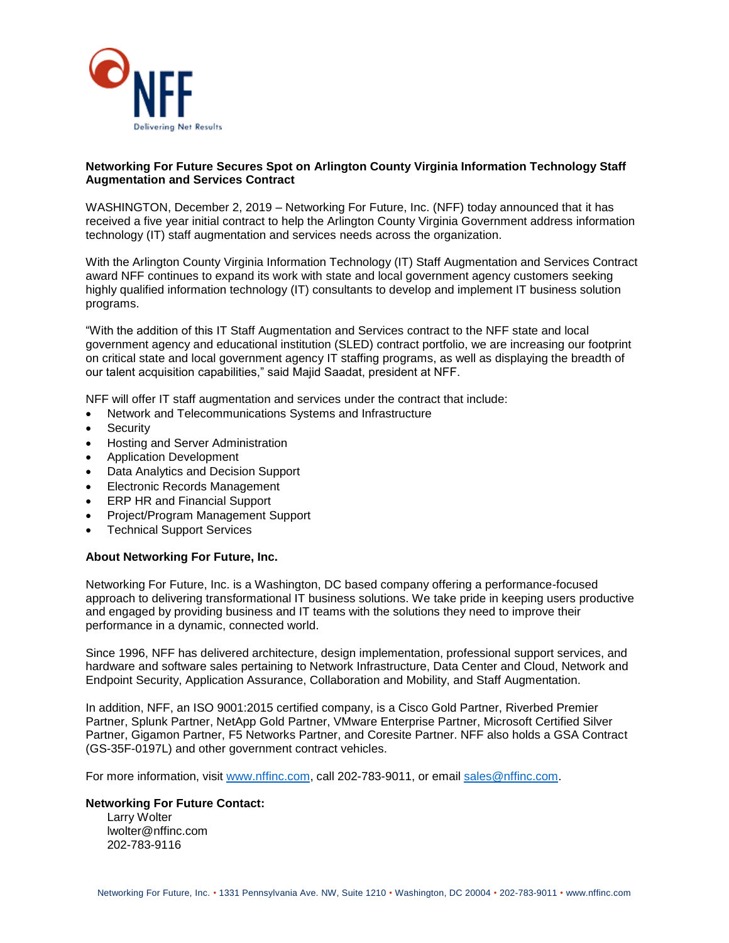

## **Networking For Future Secures Spot on Arlington County Virginia Information Technology Staff Augmentation and Services Contract**

WASHINGTON, December 2, 2019 – Networking For Future, Inc. (NFF) today announced that it has received a five year initial contract to help the Arlington County Virginia Government address information technology (IT) staff augmentation and services needs across the organization.

With the Arlington County Virginia Information Technology (IT) Staff Augmentation and Services Contract award NFF continues to expand its work with state and local government agency customers seeking highly qualified information technology (IT) consultants to develop and implement IT business solution programs.

"With the addition of this IT Staff Augmentation and Services contract to the NFF state and local government agency and educational institution (SLED) contract portfolio, we are increasing our footprint on critical state and local government agency IT staffing programs, as well as displaying the breadth of our talent acquisition capabilities," said Majid Saadat, president at NFF.

NFF will offer IT staff augmentation and services under the contract that include:

- Network and Telecommunications Systems and Infrastructure
- **Security**
- Hosting and Server Administration
- Application Development
- Data Analytics and Decision Support
- Electronic Records Management
- ERP HR and Financial Support
- Project/Program Management Support
- **Technical Support Services**

## **About Networking For Future, Inc.**

Networking For Future, Inc. is a Washington, DC based company offering a performance-focused approach to delivering transformational IT business solutions. We take pride in keeping users productive and engaged by providing business and IT teams with the solutions they need to improve their performance in a dynamic, connected world.

Since 1996, NFF has delivered architecture, design implementation, professional support services, and hardware and software sales pertaining to Network Infrastructure, Data Center and Cloud, Network and Endpoint Security, Application Assurance, Collaboration and Mobility, and Staff Augmentation.

In addition, NFF, an ISO 9001:2015 certified company, is a Cisco Gold Partner, Riverbed Premier Partner, Splunk Partner, NetApp Gold Partner, VMware Enterprise Partner, Microsoft Certified Silver Partner, Gigamon Partner, F5 Networks Partner, and Coresite Partner. NFF also holds a GSA Contract (GS-35F-0197L) and other government contract vehicles.

For more information, visit [www.nffinc.com,](http://www.nffinc.com/) call 202-783-9011, or email [sales@nffinc.com.](mailto:sales@nffinc.com)

## **Networking For Future Contact:**

Larry Wolter lwolter@nffinc.com 202-783-9116